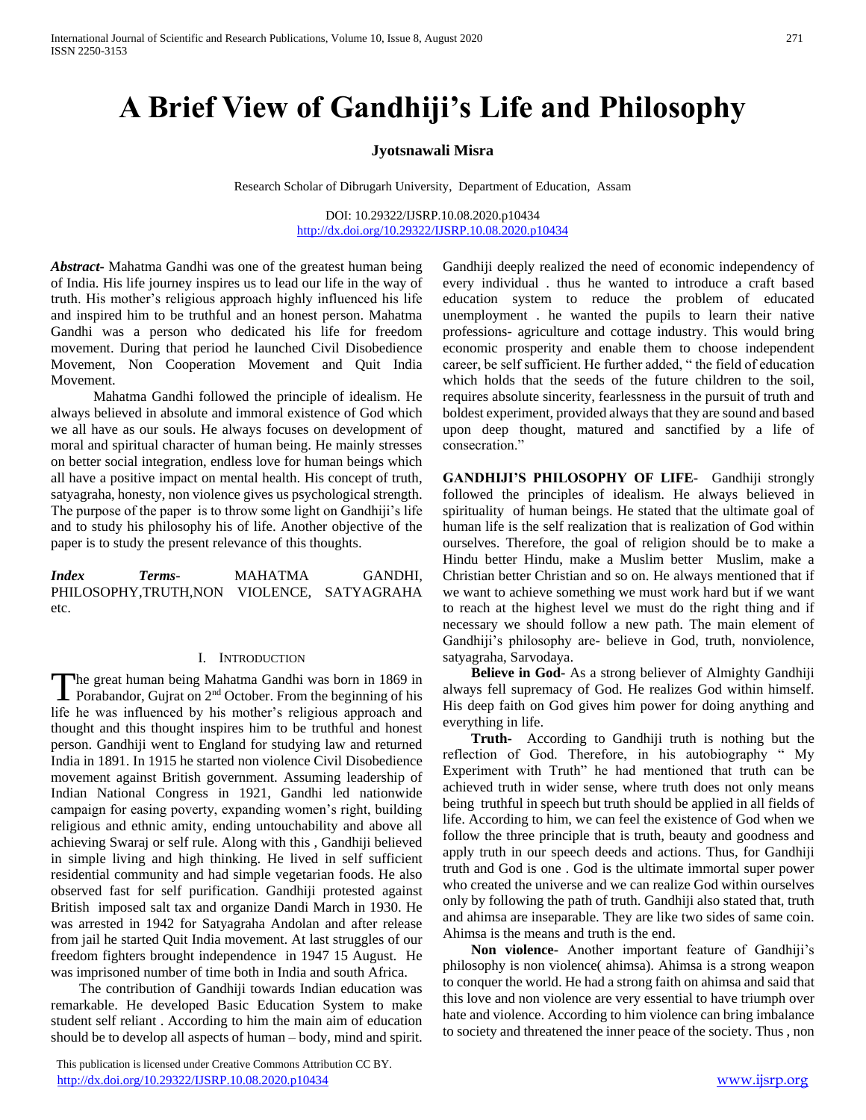# **A Brief View of Gandhiji's Life and Philosophy**

## **Jyotsnawali Misra**

Research Scholar of Dibrugarh University, Department of Education, Assam

DOI: 10.29322/IJSRP.10.08.2020.p10434 <http://dx.doi.org/10.29322/IJSRP.10.08.2020.p10434>

*Abstract***-** Mahatma Gandhi was one of the greatest human being of India. His life journey inspires us to lead our life in the way of truth. His mother's religious approach highly influenced his life and inspired him to be truthful and an honest person. Mahatma Gandhi was a person who dedicated his life for freedom movement. During that period he launched Civil Disobedience Movement, Non Cooperation Movement and Quit India Movement.

 Mahatma Gandhi followed the principle of idealism. He always believed in absolute and immoral existence of God which we all have as our souls. He always focuses on development of moral and spiritual character of human being. He mainly stresses on better social integration, endless love for human beings which all have a positive impact on mental health. His concept of truth, satyagraha, honesty, non violence gives us psychological strength. The purpose of the paper is to throw some light on Gandhiji's life and to study his philosophy his of life. Another objective of the paper is to study the present relevance of this thoughts.

*Index Terms*- MAHATMA GANDHI, PHILOSOPHY,TRUTH,NON VIOLENCE, SATYAGRAHA etc.

#### I. INTRODUCTION

he great human being Mahatma Gandhi was born in 1869 in Porabandor, Gujrat on 2<sup>nd</sup> October. From the beginning of his The great human being Mahatma Gandhi was born in 1869 in<br>Porabandor, Gujrat on 2<sup>nd</sup> October. From the beginning of his<br>life he was influenced by his mother's religious approach and thought and this thought inspires him to be truthful and honest person. Gandhiji went to England for studying law and returned India in 1891. In 1915 he started non violence Civil Disobedience movement against British government. Assuming leadership of Indian National Congress in 1921, Gandhi led nationwide campaign for easing poverty, expanding women's right, building religious and ethnic amity, ending untouchability and above all achieving Swaraj or self rule. Along with this , Gandhiji believed in simple living and high thinking. He lived in self sufficient residential community and had simple vegetarian foods. He also observed fast for self purification. Gandhiji protested against British imposed salt tax and organize Dandi March in 1930. He was arrested in 1942 for Satyagraha Andolan and after release from jail he started Quit India movement. At last struggles of our freedom fighters brought independence in 1947 15 August. He was imprisoned number of time both in India and south Africa.

 The contribution of Gandhiji towards Indian education was remarkable. He developed Basic Education System to make student self reliant . According to him the main aim of education should be to develop all aspects of human – body, mind and spirit.

 This publication is licensed under Creative Commons Attribution CC BY. <http://dx.doi.org/10.29322/IJSRP.10.08.2020.p10434> [www.ijsrp.org](http://ijsrp.org/)

Gandhiji deeply realized the need of economic independency of every individual . thus he wanted to introduce a craft based education system to reduce the problem of educated unemployment . he wanted the pupils to learn their native professions- agriculture and cottage industry. This would bring economic prosperity and enable them to choose independent career, be self sufficient. He further added, " the field of education which holds that the seeds of the future children to the soil, requires absolute sincerity, fearlessness in the pursuit of truth and boldest experiment, provided always that they are sound and based upon deep thought, matured and sanctified by a life of consecration."

**GANDHIJI'S PHILOSOPHY OF LIFE-** Gandhiji strongly followed the principles of idealism. He always believed in spirituality of human beings. He stated that the ultimate goal of human life is the self realization that is realization of God within ourselves. Therefore, the goal of religion should be to make a Hindu better Hindu, make a Muslim better Muslim, make a Christian better Christian and so on. He always mentioned that if we want to achieve something we must work hard but if we want to reach at the highest level we must do the right thing and if necessary we should follow a new path. The main element of Gandhiji's philosophy are- believe in God, truth, nonviolence, satyagraha, Sarvodaya.

 **Believe in God-** As a strong believer of Almighty Gandhiji always fell supremacy of God. He realizes God within himself. His deep faith on God gives him power for doing anything and everything in life.

 **Truth-** According to Gandhiji truth is nothing but the reflection of God. Therefore, in his autobiography " My Experiment with Truth" he had mentioned that truth can be achieved truth in wider sense, where truth does not only means being truthful in speech but truth should be applied in all fields of life. According to him, we can feel the existence of God when we follow the three principle that is truth, beauty and goodness and apply truth in our speech deeds and actions. Thus, for Gandhiji truth and God is one . God is the ultimate immortal super power who created the universe and we can realize God within ourselves only by following the path of truth. Gandhiji also stated that, truth and ahimsa are inseparable. They are like two sides of same coin. Ahimsa is the means and truth is the end.

 **Non violence-** Another important feature of Gandhiji's philosophy is non violence( ahimsa). Ahimsa is a strong weapon to conquer the world. He had a strong faith on ahimsa and said that this love and non violence are very essential to have triumph over hate and violence. According to him violence can bring imbalance to society and threatened the inner peace of the society. Thus , non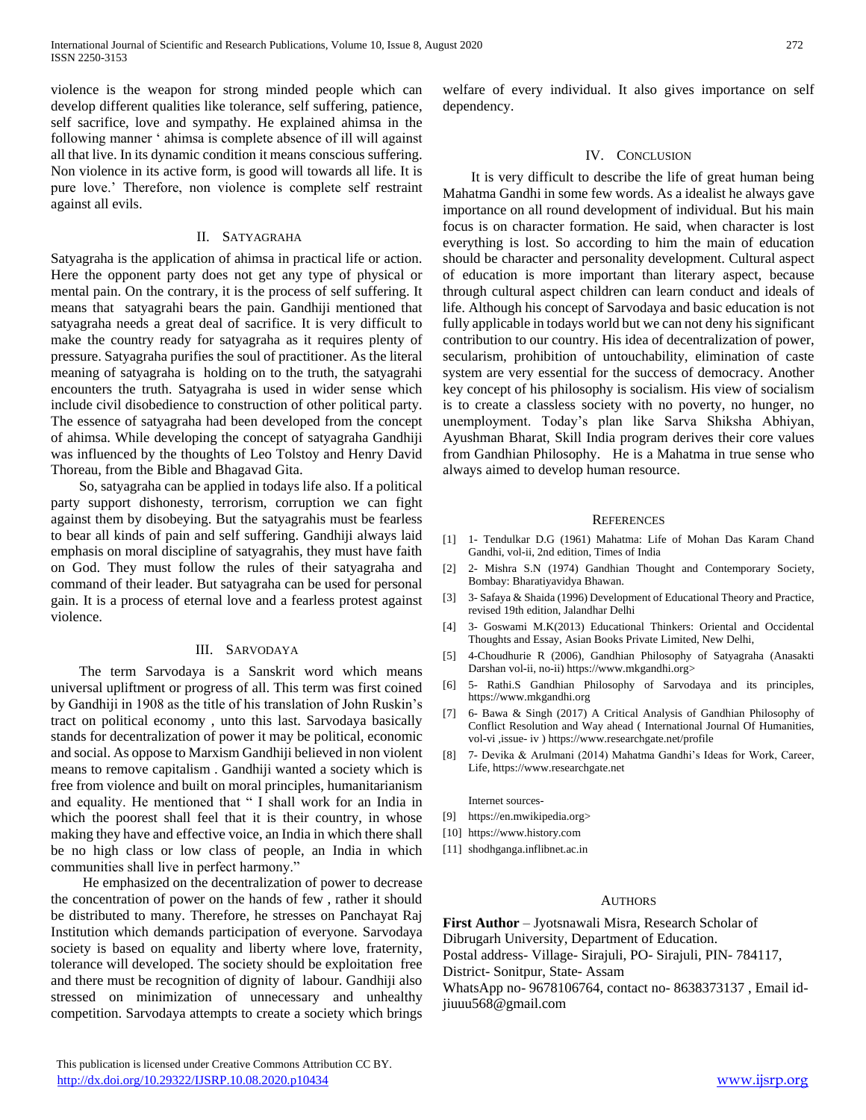violence is the weapon for strong minded people which can develop different qualities like tolerance, self suffering, patience, self sacrifice, love and sympathy. He explained ahimsa in the following manner ' ahimsa is complete absence of ill will against all that live. In its dynamic condition it means conscious suffering. Non violence in its active form, is good will towards all life. It is pure love.' Therefore, non violence is complete self restraint against all evils.

### II. SATYAGRAHA

Satyagraha is the application of ahimsa in practical life or action. Here the opponent party does not get any type of physical or mental pain. On the contrary, it is the process of self suffering. It means that satyagrahi bears the pain. Gandhiji mentioned that satyagraha needs a great deal of sacrifice. It is very difficult to make the country ready for satyagraha as it requires plenty of pressure. Satyagraha purifies the soul of practitioner. As the literal meaning of satyagraha is holding on to the truth, the satyagrahi encounters the truth. Satyagraha is used in wider sense which include civil disobedience to construction of other political party. The essence of satyagraha had been developed from the concept of ahimsa. While developing the concept of satyagraha Gandhiji was influenced by the thoughts of Leo Tolstoy and Henry David Thoreau, from the Bible and Bhagavad Gita.

 So, satyagraha can be applied in todays life also. If a political party support dishonesty, terrorism, corruption we can fight against them by disobeying. But the satyagrahis must be fearless to bear all kinds of pain and self suffering. Gandhiji always laid emphasis on moral discipline of satyagrahis, they must have faith on God. They must follow the rules of their satyagraha and command of their leader. But satyagraha can be used for personal gain. It is a process of eternal love and a fearless protest against violence.

#### III. SARVODAYA

 The term Sarvodaya is a Sanskrit word which means universal upliftment or progress of all. This term was first coined by Gandhiji in 1908 as the title of his translation of John Ruskin's tract on political economy , unto this last. Sarvodaya basically stands for decentralization of power it may be political, economic and social. As oppose to Marxism Gandhiji believed in non violent means to remove capitalism . Gandhiji wanted a society which is free from violence and built on moral principles, humanitarianism and equality. He mentioned that " I shall work for an India in which the poorest shall feel that it is their country, in whose making they have and effective voice, an India in which there shall be no high class or low class of people, an India in which communities shall live in perfect harmony."

 He emphasized on the decentralization of power to decrease the concentration of power on the hands of few , rather it should be distributed to many. Therefore, he stresses on Panchayat Raj Institution which demands participation of everyone. Sarvodaya society is based on equality and liberty where love, fraternity, tolerance will developed. The society should be exploitation free and there must be recognition of dignity of labour. Gandhiji also stressed on minimization of unnecessary and unhealthy competition. Sarvodaya attempts to create a society which brings welfare of every individual. It also gives importance on self dependency.

### IV. CONCLUSION

 It is very difficult to describe the life of great human being Mahatma Gandhi in some few words. As a idealist he always gave importance on all round development of individual. But his main focus is on character formation. He said, when character is lost everything is lost. So according to him the main of education should be character and personality development. Cultural aspect of education is more important than literary aspect, because through cultural aspect children can learn conduct and ideals of life. Although his concept of Sarvodaya and basic education is not fully applicable in todays world but we can not deny his significant contribution to our country. His idea of decentralization of power, secularism, prohibition of untouchability, elimination of caste system are very essential for the success of democracy. Another key concept of his philosophy is socialism. His view of socialism is to create a classless society with no poverty, no hunger, no unemployment. Today's plan like Sarva Shiksha Abhiyan, Ayushman Bharat, Skill India program derives their core values from Gandhian Philosophy. He is a Mahatma in true sense who always aimed to develop human resource.

### **REFERENCES**

- [1] 1- Tendulkar D.G (1961) Mahatma: Life of Mohan Das Karam Chand Gandhi, vol-ii, 2nd edition, Times of India
- [2] 2- Mishra S.N (1974) Gandhian Thought and Contemporary Society, Bombay: Bharatiyavidya Bhawan.
- [3] 3- Safaya & Shaida (1996) Development of Educational Theory and Practice, revised 19th edition, Jalandhar Delhi
- [4] 3- Goswami M.K(2013) Educational Thinkers: Oriental and Occidental Thoughts and Essay, Asian Books Private Limited, New Delhi,
- [5] 4-Choudhurie R (2006), Gandhian Philosophy of Satyagraha (Anasakti Darshan vol-ii, no-ii) https://www.mkgandhi.org>
- [6] 5- Rathi.S Gandhian Philosophy of Sarvodaya and its principles, https://www.mkgandhi.org
- [7] 6- Bawa & Singh (2017) A Critical Analysis of Gandhian Philosophy of Conflict Resolution and Way ahead ( International Journal Of Humanities, vol-vi ,issue- iv ) https://www.researchgate.net/profile
- [8] 7- Devika & Arulmani (2014) Mahatma Gandhi's Ideas for Work, Career, Life, https://www.researchgate.net

Internet sources-

- [9] https://en.mwikipedia.org>
- [10] https://www.history.com
- [11] shodhganga.inflibnet.ac.in

#### AUTHORS

**First Author** – Jyotsnawali Misra, Research Scholar of Dibrugarh University, Department of Education. Postal address- Village- Sirajuli, PO- Sirajuli, PIN- 784117, District- Sonitpur, State- Assam WhatsApp no- 9678106764, contact no- 8638373137 , Email idjiuuu568@gmail.com